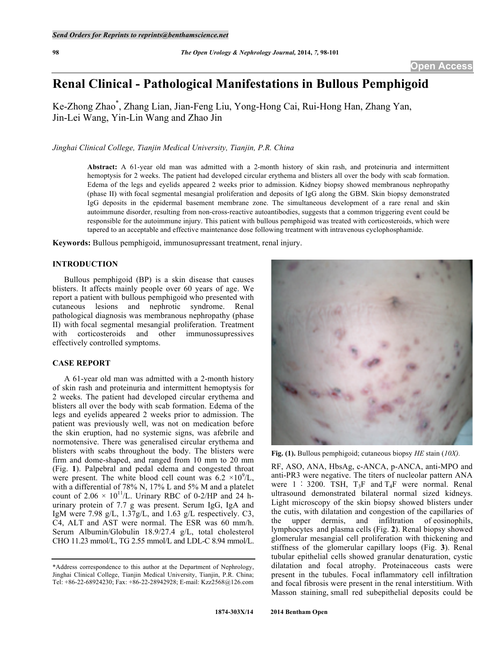# **Renal Clinical - Pathological Manifestations in Bullous Pemphigoid**

Ke-Zhong Zhao\* , Zhang Lian, Jian-Feng Liu, Yong-Hong Cai, Rui-Hong Han, Zhang Yan, Jin-Lei Wang, Yin-Lin Wang and Zhao Jin

# *Jinghai Clinical College, Tianjin Medical University, Tianjin, P.R. China*

**Abstract:** A 61-year old man was admitted with a 2-month history of skin rash, and proteinuria and intermittent hemoptysis for 2 weeks. The patient had developed circular erythema and blisters all over the body with scab formation. Edema of the legs and eyelids appeared 2 weeks prior to admission. Kidney biopsy showed membranous nephropathy (phase II) with focal segmental mesangial proliferation and deposits of IgG along the GBM. Skin biopsy demonstrated IgG deposits in the epidermal basement membrane zone. The simultaneous development of a rare renal and skin autoimmune disorder, resulting from non-cross-reactive autoantibodies, suggests that a common triggering event could be responsible for the autoimmune injury. This patient with bullous pemphigoid was treated with corticosteroids, which were tapered to an acceptable and effective maintenance dose following treatment with intravenous cyclophosphamide.

**Keywords:** Bullous pemphigoid, immunosupressant treatment, renal injury.

### **INTRODUCTION**

Bullous pemphigoid (BP) is a skin disease that causes blisters. It affects mainly people over 60 years of age. We report a patient with bullous pemphigoid who presented with cutaneous lesions and nephrotic syndrome. Renal pathological diagnosis was membranous nephropathy (phase II) with focal segmental mesangial proliferation. Treatment with corticosteroids and other immunossupressives effectively controlled symptoms.

### **CASE REPORT**

A 61-year old man was admitted with a 2-month history of skin rash and proteinuria and intermittent hemoptysis for 2 weeks. The patient had developed circular erythema and blisters all over the body with scab formation. Edema of the legs and eyelids appeared 2 weeks prior to admission. The patient was previously well, was not on medication before the skin eruption, had no systemic signs, was afebrile and normotensive. There was generalised circular erythema and blisters with scabs throughout the body. The blisters were firm and dome-shaped, and ranged from 10 mm to 20 mm (Fig. **1**). Palpebral and pedal edema and congested throat were present. The white blood cell count was  $6.2 \times 10^9$ /L, with a differential of 78% N, 17% L and 5% M and a platelet count of  $2.06 \times 10^{11}$ /L. Urinary RBC of 0-2/HP and 24 hurinary protein of 7.7 g was present. Serum IgG, IgA and IgM were 7.98 g/L, 1.37g/L, and 1.63 g/L respectively. C3, C4, ALT and AST were normal. The ESR was 60 mm/h. Serum Albumin/Globulin 18.9/27.4 g/L, total cholesterol CHO 11.23 mmol/L, TG 2.55 mmol/L and LDL-C 8.94 mmol/L.



**Fig. (1).** Bullous pemphigoid; cutaneous biopsy *HE* stain (*10X).*

RF, ASO, ANA, HbsAg, c-ANCA, p-ANCA, anti-MPO and anti-PR3 were negative. The titers of nucleolar pattern ANA were  $1:3200$ . TSH,  $T_3F$  and  $T_4F$  were normal. Renal ultrasound demonstrated bilateral normal sized kidneys. Light microscopy of the skin biopsy showed blisters under the cutis, with dilatation and congestion of the capillaries of the upper dermis, and infiltration of eosinophils, lymphocytes and plasma cells (Fig. **2**). Renal biopsy showed glomerular mesangial cell proliferation with thickening and stiffness of the glomerular capillary loops (Fig. **3**). Renal tubular epithelial cells showed granular denaturation, cystic dilatation and focal atrophy. Proteinaceous casts were present in the tubules. Focal inflammatory cell infiltration and focal fibrosis were present in the renal interstitium. With Masson staining, small red subepithelial deposits could be

<sup>\*</sup>Address correspondence to this author at the Department of Nephrology, Jinghai Clinical College, Tianjin Medical University, Tianjin, P.R. China; Tel: +86-22-68924230; Fax: +86-22-28942928; E-mail: Kzz2568@126.com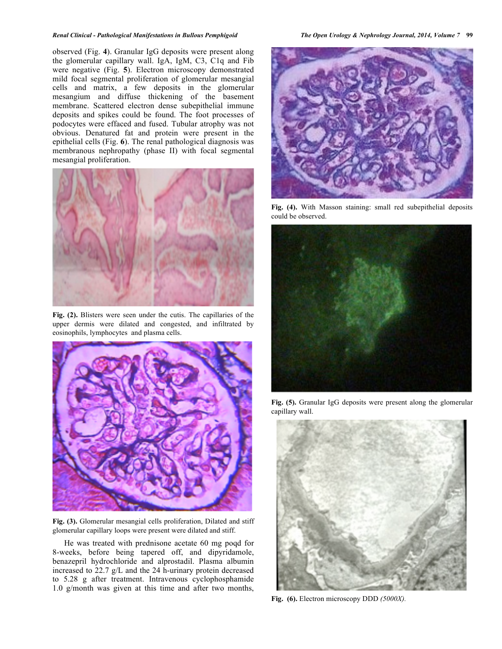#### *Renal Clinical - Pathological Manifestations in Bullous Pemphigoid The Open Urology & Nephrology Journal, 2014, Volume 7* **99**

observed (Fig. **4**). Granular IgG deposits were present along the glomerular capillary wall. IgA, IgM, C3, C1q and Fib were negative (Fig. **5**). Electron microscopy demonstrated mild focal segmental proliferation of glomerular mesangial cells and matrix, a few deposits in the glomerular mesangium and diffuse thickening of the basement membrane. Scattered electron dense subepithelial immune deposits and spikes could be found. The foot processes of podocytes were effaced and fused. Tubular atrophy was not obvious. Denatured fat and protein were present in the epithelial cells (Fig. **6**). The renal pathological diagnosis was membranous nephropathy (phase II) with focal segmental mesangial proliferation.



**Fig. (2).** Blisters were seen under the cutis. The capillaries of the upper dermis were dilated and congested, and infiltrated by eosinophils, lymphocytes and plasma cells.



**Fig. (3).** Glomerular mesangial cells proliferation, Dilated and stiff glomerular capillary loops were present were dilated and stiff.

He was treated with prednisone acetate 60 mg poqd for 8-weeks, before being tapered off, and dipyridamole, benazepril hydrochloride and alprostadil. Plasma albumin increased to 22.7 g/L and the 24 h-urinary protein decreased to 5.28 g after treatment. Intravenous cyclophosphamide 1.0 g/month was given at this time and after two months,



**Fig. (4).** With Masson staining: small red subepithelial deposits could be observed.



**Fig. (5).** Granular IgG deposits were present along the glomerular capillary wall.



**Fig. (6).** Electron microscopy DDD *(5000X).*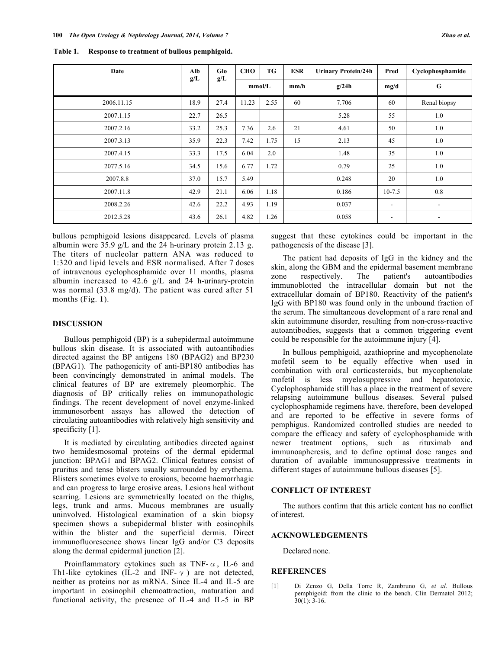| Table 1. | Response to treatment of bullous pemphigoid. |  |
|----------|----------------------------------------------|--|
|----------|----------------------------------------------|--|

| Date       | Alb<br>g/L | Glo  | <b>CHO</b> | TG   | <b>ESR</b> | <b>Urinary Protein/24h</b> | Pred       | Cyclophosphamide         |
|------------|------------|------|------------|------|------------|----------------------------|------------|--------------------------|
|            |            | g/L  | mmol/L     |      | mm/h       | g/24h                      | mg/d       | G                        |
| 2006.11.15 | 18.9       | 27.4 | 11.23      | 2.55 | 60         | 7.706                      | 60         | Renal biopsy             |
| 2007.1.15  | 22.7       | 26.5 |            |      |            | 5.28                       | 55         | 1.0                      |
| 2007.2.16  | 33.2       | 25.3 | 7.36       | 2.6  | 21         | 4.61                       | 50         | 1.0                      |
| 2007.3.13  | 35.9       | 22.3 | 7.42       | 1.75 | 15         | 2.13                       | 45         | 1.0                      |
| 2007.4.15  | 33.3       | 17.5 | 6.04       | 2.0  |            | 1.48                       | 35         | 1.0                      |
| 2077.5.16  | 34.5       | 15.6 | 6.77       | 1.72 |            | 0.79                       | 25         | 1.0                      |
| 2007.8.8   | 37.0       | 15.7 | 5.49       |      |            | 0.248                      | 20         | 1.0                      |
| 2007.11.8  | 42.9       | 21.1 | 6.06       | 1.18 |            | 0.186                      | $10 - 7.5$ | 0.8                      |
| 2008.2.26  | 42.6       | 22.2 | 4.93       | 1.19 |            | 0.037                      | $\sim$     | $\overline{\phantom{a}}$ |
| 2012.5.28  | 43.6       | 26.1 | 4.82       | 1.26 |            | 0.058                      | ۰          | $\overline{\phantom{a}}$ |

bullous pemphigoid lesions disappeared. Levels of plasma albumin were 35.9 g/L and the 24 h-urinary protein 2.13 g. The titers of nucleolar pattern ANA was reduced to 1:320 and lipid levels and ESR normalised. After 7 doses of intravenous cyclophosphamide over 11 months, plasma albumin increased to 42.6 g/L and 24 h-urinary-protein was normal (33.8 mg/d). The patient was cured after 51 months (Fig. **1**).

# **DISCUSSION**

Bullous pemphigoid (BP) is a subepidermal autoimmune bullous skin disease. It is associated with autoantibodies directed against the BP antigens 180 (BPAG2) and BP230 (BPAG1). The pathogenicity of anti-BP180 antibodies has been convincingly demonstrated in animal models. The clinical features of BP are extremely pleomorphic. The diagnosis of BP critically relies on immunopathologic findings. The recent development of novel enzyme-linked immunosorbent assays has allowed the detection of circulating autoantibodies with relatively high sensitivity and specificity [1].

It is mediated by circulating antibodies directed against two hemidesmosomal proteins of the dermal epidermal junction: BPAG1 and BPAG2. Clinical features consist of pruritus and tense blisters usually surrounded by erythema. Blisters sometimes evolve to erosions, become haemorrhagic and can progress to large erosive areas. Lesions heal without scarring. Lesions are symmetrically located on the thighs, legs, trunk and arms. Mucous membranes are usually uninvolved. Histological examination of a skin biopsy specimen shows a subepidermal blister with eosinophils within the blister and the superficial dermis. Direct immunofluorescence shows linear IgG and/or C3 deposits along the dermal epidermal junction [2].

Proinflammatory cytokines such as TNF- $\alpha$ , IL-6 and Th1-like cytokines (IL-2 and INF- $\gamma$ ) are not detected, neither as proteins nor as mRNA. Since IL-4 and IL-5 are important in eosinophil chemoattraction, maturation and functional activity, the presence of IL-4 and IL-5 in BP

suggest that these cytokines could be important in the pathogenesis of the disease [3].

The patient had deposits of IgG in the kidney and the skin, along the GBM and the epidermal basement membrane zone respectively. The patient's autoantibodies immunoblotted the intracellular domain but not the extracellular domain of BP180. Reactivity of the patient's IgG with BP180 was found only in the unbound fraction of the serum. The simultaneous development of a rare renal and skin autoimmune disorder, resulting from non-cross-reactive autoantibodies, suggests that a common triggering event could be responsible for the autoimmune injury [4].

In bullous pemphigoid, azathioprine and mycophenolate mofetil seem to be equally effective when used in combination with oral corticosteroids, but mycophenolate mofetil is less myelosuppressive and hepatotoxic. Cyclophosphamide still has a place in the treatment of severe relapsing autoimmune bullous diseases. Several pulsed cyclophosphamide regimens have, therefore, been developed and are reported to be effective in severe forms of pemphigus. Randomized controlled studies are needed to compare the efficacy and safety of cyclophosphamide with newer treatment options, such as rituximab and immunoapheresis, and to define optimal dose ranges and duration of available immunosuppressive treatments in different stages of autoimmune bullous diseases [5].

#### **CONFLICT OF INTEREST**

The authors confirm that this article content has no conflict of interest.

#### **ACKNOWLEDGEMENTS**

Declared none.

#### **REFERENCES**

[1] Di Zenzo G, Della Torre R, Zambruno G, *et al*. Bullous pemphigoid: from the clinic to the bench. Clin Dermatol 2012; 30(1): 3-16.